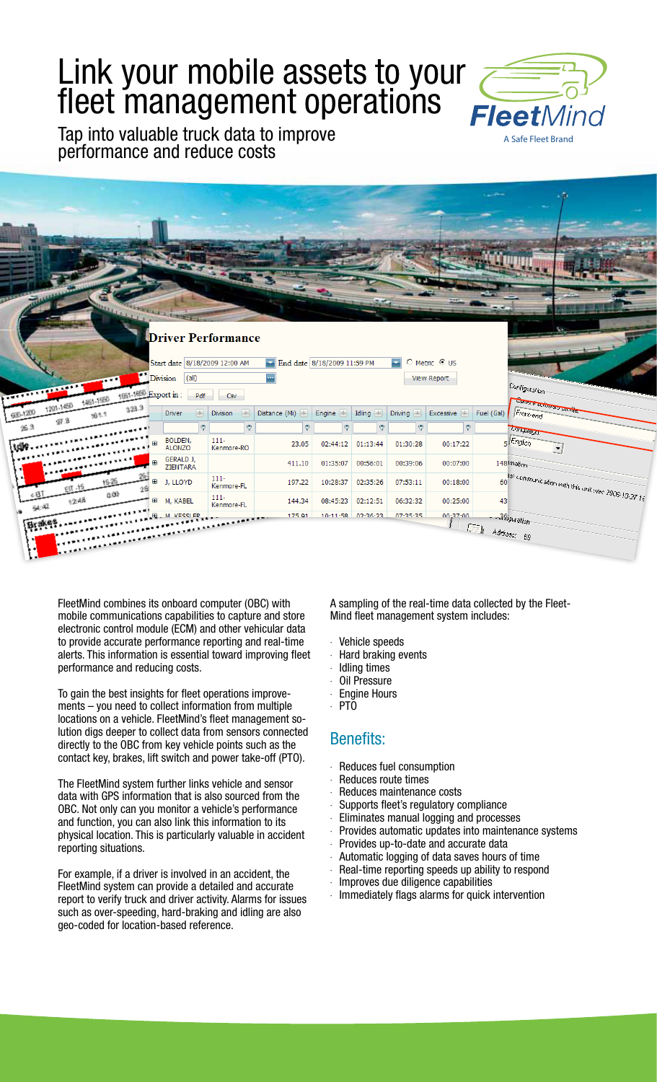# Link your mobile assets to your fleet management operations

Tap into valuable truck data to improve performance and reduce costs





FleetMind combines its onboard computer (OBC) with mobile communications capabilities to capture and store electronic control module (ECM) and other vehicular data to provide accurate performance reporting and real-time alerts. This information is essential toward improving fleet performance and reducing costs.

To gain the best insights for fleet operations improvements – you need to collect information from multiple locations on a vehicle. FleetMind's fleet management solution digs deeper to collect data from sensors connected directly to the OBC from key vehicle points such as the contact key, brakes, lift switch and power take-off (PTO).

The FleetMind system further links vehicle and sensor data with GPS information that is also sourced from the OBC. Not only can you monitor a vehicle's performance and function, you can also link this information to its physical location. This is particularly valuable in accident reporting situations.

For example, if a driver is involved in an accident, the FleetMind system can provide a detailed and accurate report to verify truck and driver activity. Alarms for issues such as over-speeding, hard-braking and idling are also geo-coded for location-based reference.

A sampling of the real-time data collected by the Fleet-Mind fleet management system includes:

- Vehicle speeds
- · Hard braking events
- Idling times
- Oil Pressure
- **Engine Hours**
- · PTO

## Benefits:

- Reduces fuel consumption
- Reduces route times
- Reduces maintenance costs
- Supports fleet's regulatory compliance
- · Eliminates manual logging and processes
- Provides automatic updates into maintenance systems
- · Provides up-to-date and accurate data
- Automatic logging of data saves hours of time
- Real-time reporting speeds up ability to respond
- · Improves due diligence capabilities
- Immediately flags alarms for quick intervention